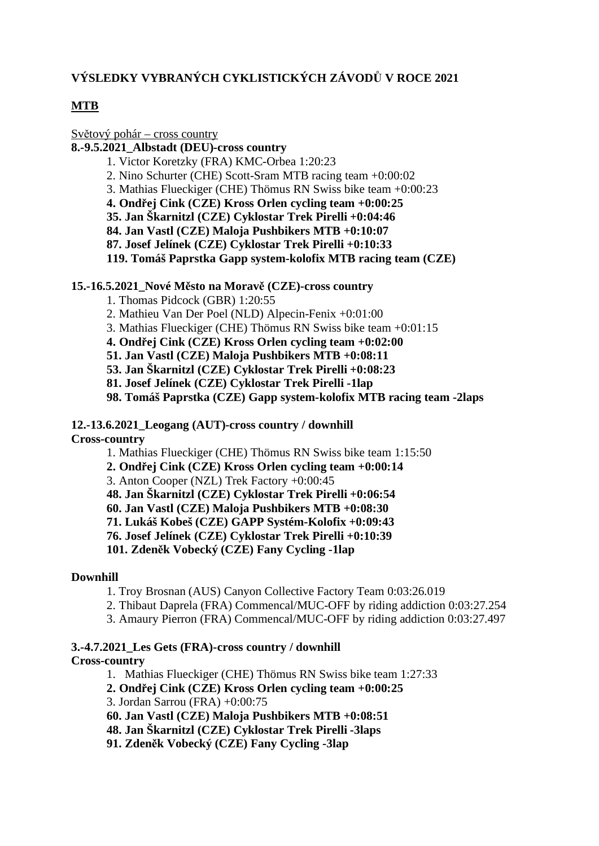### **VÝSLEDKY VYBRANÝCH CYKLISTICKÝCH ZÁVODŮ V ROCE 2021**

### **MTB**

Světový pohár – cross country

**8.-9.5.2021\_Albstadt (DEU)-cross country**

- 1. Victor Koretzky (FRA) KMC-Orbea 1:20:23
- 2. Nino Schurter (CHE) Scott-Sram MTB racing team +0:00:02
- 3. Mathias Flueckiger (CHE) Thömus RN Swiss bike team +0:00:23
- **4. Ondřej Cink (CZE) Kross Orlen cycling team +0:00:25**
- **35. Jan Škarnitzl (CZE) Cyklostar Trek Pirelli +0:04:46**
- **84. Jan Vastl (CZE) Maloja Pushbikers MTB +0:10:07**
- **87. Josef Jelínek (CZE) Cyklostar Trek Pirelli +0:10:33**

**119. Tomáš Paprstka Gapp system-kolofix MTB racing team (CZE)**

#### **15.-16.5.2021\_Nové Město na Moravě (CZE)-cross country**

- 1. Thomas Pidcock (GBR) 1:20:55
- 2. Mathieu Van Der Poel (NLD) Alpecin-Fenix +0:01:00
- 3. Mathias Flueckiger (CHE) Thömus RN Swiss bike team +0:01:15
- **4. Ondřej Cink (CZE) Kross Orlen cycling team +0:02:00**
- **51. Jan Vastl (CZE) Maloja Pushbikers MTB +0:08:11**
- **53. Jan Škarnitzl (CZE) Cyklostar Trek Pirelli +0:08:23**
- **81. Josef Jelínek (CZE) Cyklostar Trek Pirelli -1lap**
- **98. Tomáš Paprstka (CZE) Gapp system-kolofix MTB racing team -2laps**
- **12.-13.6.2021\_Leogang (AUT)-cross country / downhill**

#### **Cross-country**

1. Mathias Flueckiger (CHE) Thömus RN Swiss bike team 1:15:50

**2. Ondřej Cink (CZE) Kross Orlen cycling team +0:00:14**

3. Anton Cooper (NZL) Trek Factory +0:00:45

**48. Jan Škarnitzl (CZE) Cyklostar Trek Pirelli +0:06:54**

**60. Jan Vastl (CZE) Maloja Pushbikers MTB +0:08:30**

**71. Lukáš Kobeš (CZE) GAPP Systém-Kolofix +0:09:43**

**76. Josef Jelínek (CZE) Cyklostar Trek Pirelli +0:10:39**

**101. Zdeněk Vobecký (CZE) Fany Cycling -1lap**

#### **Downhill**

1. Troy Brosnan (AUS) Canyon Collective Factory Team 0:03:26.019

- 2. Thibaut Daprela (FRA) Commencal/MUC-OFF by riding addiction 0:03:27.254
- 3. Amaury Pierron (FRA) Commencal/MUC-OFF by riding addiction 0:03:27.497

# **3.-4.7.2021\_Les Gets (FRA)-cross country / downhill**

### **Cross-country**

- 1. Mathias Flueckiger (CHE) Thömus RN Swiss bike team 1:27:33
- **2. Ondřej Cink (CZE) Kross Orlen cycling team +0:00:25**
- 3. Jordan Sarrou (FRA) +0:00:75
- **60. Jan Vastl (CZE) Maloja Pushbikers MTB +0:08:51**
- **48. Jan Škarnitzl (CZE) Cyklostar Trek Pirelli -3laps**
- **91. Zdeněk Vobecký (CZE) Fany Cycling -3lap**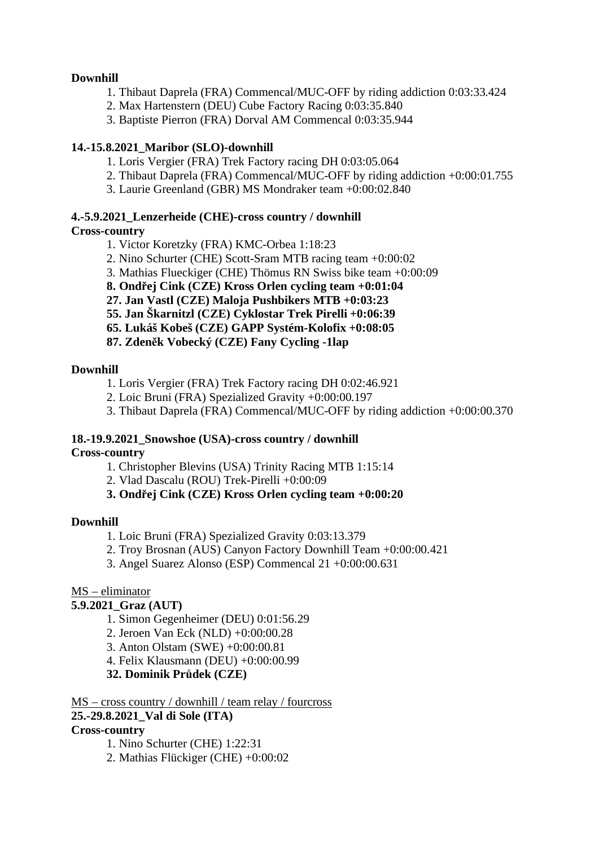### **Downhill**

- 1. Thibaut Daprela (FRA) Commencal/MUC-OFF by riding addiction 0:03:33.424
- 2. Max Hartenstern (DEU) Cube Factory Racing 0:03:35.840
- 3. Baptiste Pierron (FRA) Dorval AM Commencal 0:03:35.944

### **14.-15.8.2021\_Maribor (SLO)-downhill**

- 1. Loris Vergier (FRA) Trek Factory racing DH 0:03:05.064
- 2. Thibaut Daprela (FRA) Commencal/MUC-OFF by riding addiction +0:00:01.755
- 3. Laurie Greenland (GBR) MS Mondraker team +0:00:02.840

### **4.-5.9.2021\_Lenzerheide (CHE)-cross country / downhill**

### **Cross-country**

- 1. Victor Koretzky (FRA) KMC-Orbea 1:18:23
- 2. Nino Schurter (CHE) Scott-Sram MTB racing team +0:00:02
- 3. Mathias Flueckiger (CHE) Thömus RN Swiss bike team +0:00:09
- **8. Ondřej Cink (CZE) Kross Orlen cycling team +0:01:04**
- **27. Jan Vastl (CZE) Maloja Pushbikers MTB +0:03:23**
- **55. Jan Škarnitzl (CZE) Cyklostar Trek Pirelli +0:06:39**
- **65. Lukáš Kobeš (CZE) GAPP Systém-Kolofix +0:08:05**
- **87. Zdeněk Vobecký (CZE) Fany Cycling -1lap**

### **Downhill**

- 1. Loris Vergier (FRA) Trek Factory racing DH 0:02:46.921
- 2. Loic Bruni (FRA) Spezialized Gravity +0:00:00.197
- 3. Thibaut Daprela (FRA) Commencal/MUC-OFF by riding addiction +0:00:00.370

### **18.-19.9.2021\_Snowshoe (USA)-cross country / downhill**

#### **Cross-country**

- 1. Christopher Blevins (USA) Trinity Racing MTB 1:15:14
- 2. Vlad Dascalu (ROU) Trek-Pirelli +0:00:09

### **3. Ondřej Cink (CZE) Kross Orlen cycling team +0:00:20**

#### **Downhill**

- 1. Loic Bruni (FRA) Spezialized Gravity 0:03:13.379
- 2. Troy Brosnan (AUS) Canyon Factory Downhill Team +0:00:00.421
- 3. Angel Suarez Alonso (ESP) Commencal 21 +0:00:00.631

#### MS – eliminator

### **5.9.2021\_Graz (AUT)**

- 1. Simon Gegenheimer (DEU) 0:01:56.29
- 2. Jeroen Van Eck (NLD) +0:00:00.28
- 3. Anton Olstam (SWE) +0:00:00.81
- 4. Felix Klausmann (DEU) +0:00:00.99

### **32. Dominik Průdek (CZE)**

MS – cross country / downhill / team relay / fourcross

### **25.-29.8.2021\_Val di Sole (ITA)**

### **Cross-country**

- 1. Nino Schurter (CHE) 1:22:31
- 2. Mathias Flückiger (CHE) +0:00:02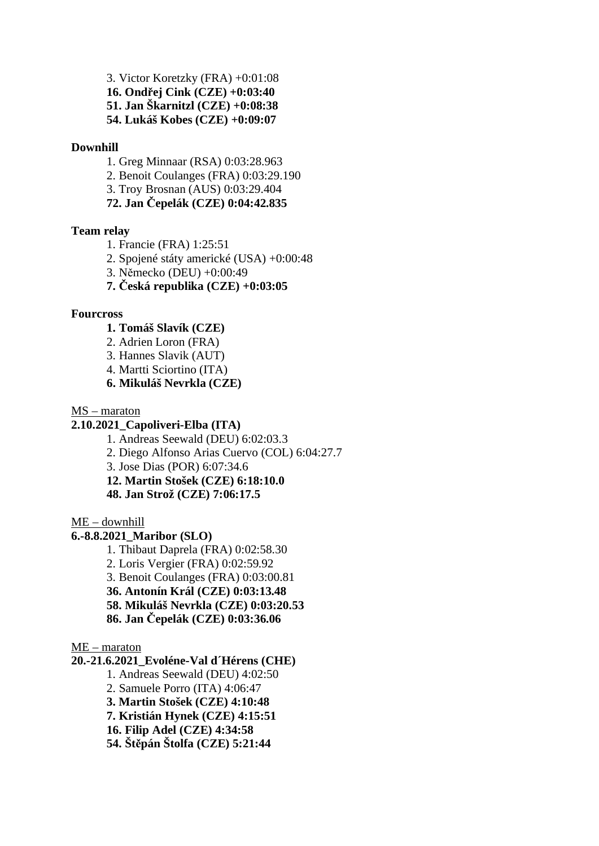3. Victor Koretzky (FRA) +0:01:08 **16. Ondřej Cink (CZE) +0:03:40 51. Jan Škarnitzl (CZE) +0:08:38 54. Lukáš Kobes (CZE) +0:09:07**

#### **Downhill**

- 1. Greg Minnaar (RSA) 0:03:28.963
- 2. Benoit Coulanges (FRA) 0:03:29.190
- 3. Troy Brosnan (AUS) 0:03:29.404

**72. Jan Čepelák (CZE) 0:04:42.835**

#### **Team relay**

- 1. Francie (FRA) 1:25:51
- 2. Spojené státy americké (USA) +0:00:48
- 3. Německo (DEU) +0:00:49
- **7. Česká republika (CZE) +0:03:05**

#### **Fourcross**

- **1. Tomáš Slavík (CZE)**
- 2. Adrien Loron (FRA)
- 3. Hannes Slavik (AUT)
- 4. Martti Sciortino (ITA)
- **6. Mikuláš Nevrkla (CZE)**

MS – maraton

#### **2.10.2021\_Capoliveri-Elba (ITA)**

1. Andreas Seewald (DEU) 6:02:03.3

- 2. Diego Alfonso Arias Cuervo (COL) 6:04:27.7
- 3. Jose Dias (POR) 6:07:34.6

**12. Martin Stošek (CZE) 6:18:10.0**

**48. Jan Strož (CZE) 7:06:17.5**

ME – downhill

#### **6.-8.8.2021\_Maribor (SLO)**

1. Thibaut Daprela (FRA) 0:02:58.30

2. Loris Vergier (FRA) 0:02:59.92

3. Benoit Coulanges (FRA) 0:03:00.81

**36. Antonín Král (CZE) 0:03:13.48**

**58. Mikuláš Nevrkla (CZE) 0:03:20.53**

**86. Jan Čepelák (CZE) 0:03:36.06**

#### ME – maraton

**20.-21.6.2021\_Evoléne-Val d´Hérens (CHE)**

1. Andreas Seewald (DEU) 4:02:50

- 2. Samuele Porro (ITA) 4:06:47
- **3. Martin Stošek (CZE) 4:10:48**

**7. Kristián Hynek (CZE) 4:15:51**

**16. Filip Adel (CZE) 4:34:58**

**54. Štěpán Štolfa (CZE) 5:21:44**